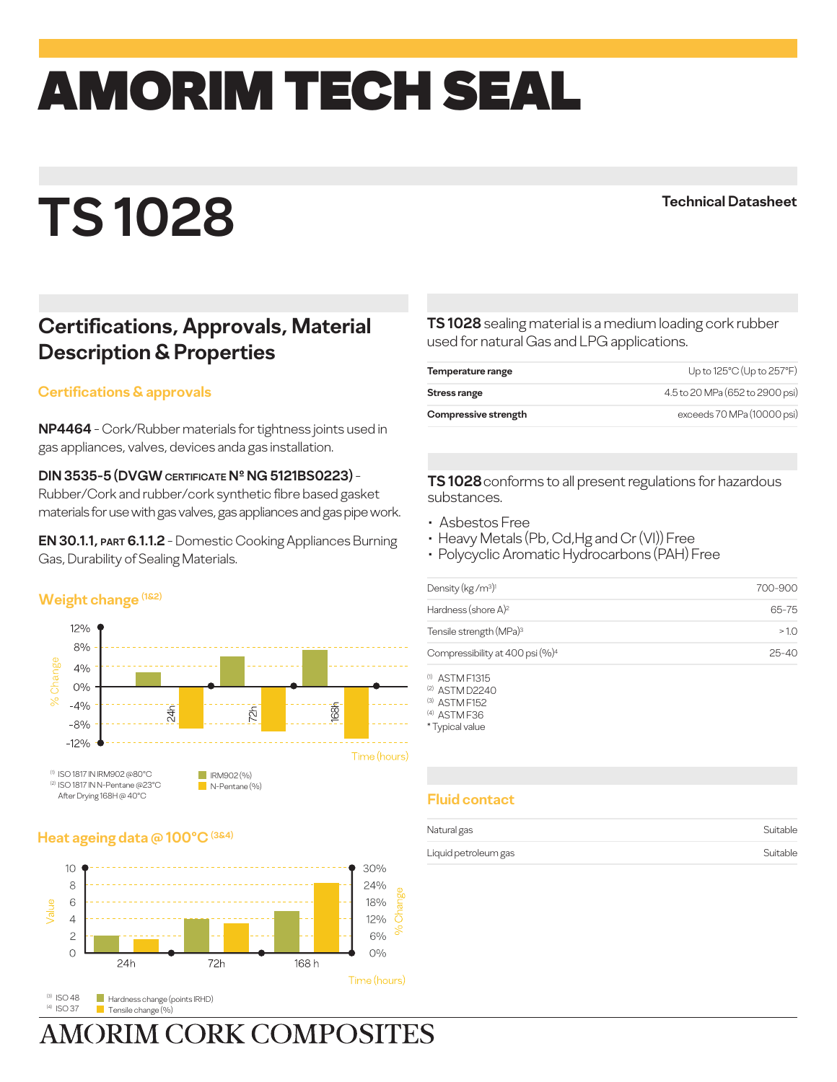# amorim TECH SEAL

## **TS 1028**

**Technical Datasheet**

### **Certifications, Approvals, Material Description & Properties**

#### **Certifications & approvals**

**NP4464** - Cork/Rubber materials for tightness joints used in gas appliances, valves, devices anda gas installation.

#### **DIN 3535-5 (DVGW CERTIFICATE Nº NG 5121BS0223)** -

Rubber/Cork and rubber/cork synthetic fibre based gasket materials for use with gas valves, gas appliances and gas pipe work.

**EN 30.1.1, PART 6.1.1.2** - Domestic Cooking Appliances Burning Gas, Durability of Sealing Materials.

#### **Weight change (1&2)**



#### **Heat ageing data @ 100°C (3&4)**



(3)  $ISOAB$ (4) ISO 37 **Hardness change (points IRHD)** Tensile change (%)

**AMORIM CORK COMPOSITES** 

**TS 1028** sealing material is a medium loading cork rubber used for natural Gas and LPG applications.

| Temperature range    | Up to 125°C (Up to 257°F)       |
|----------------------|---------------------------------|
| Stress range         | 4.5 to 20 MPa (652 to 2900 psi) |
| Compressive strength | exceeds 70 MPa (10000 psi)      |

**TS 1028** conforms to all present regulations for hazardous substances.

- Asbestos Free •
- Heavy Metals (Pb, Cd,Hg and Cr (VI)) Free
- Polycyclic Aromatic Hydrocarbons (PAH) Free •

| Density ( $kg/m3$ ) <sup>1</sup>            | 700-900   |
|---------------------------------------------|-----------|
| Hardness (shore $A$ ) <sup>2</sup>          | 65-75     |
| Tensile strength (MPa) <sup>3</sup>         | >10       |
| Compressibility at 400 psi (%) <sup>4</sup> | $25 - 40$ |
|                                             |           |

ASTM F1315 (1)

(2) ASTM D2240 (3) ASTM F152

(4) ASTM F36

\* Typical value

#### **Fluid contact**

| Natural gas          | Suitable |
|----------------------|----------|
| Liquid petroleum gas | Suitable |